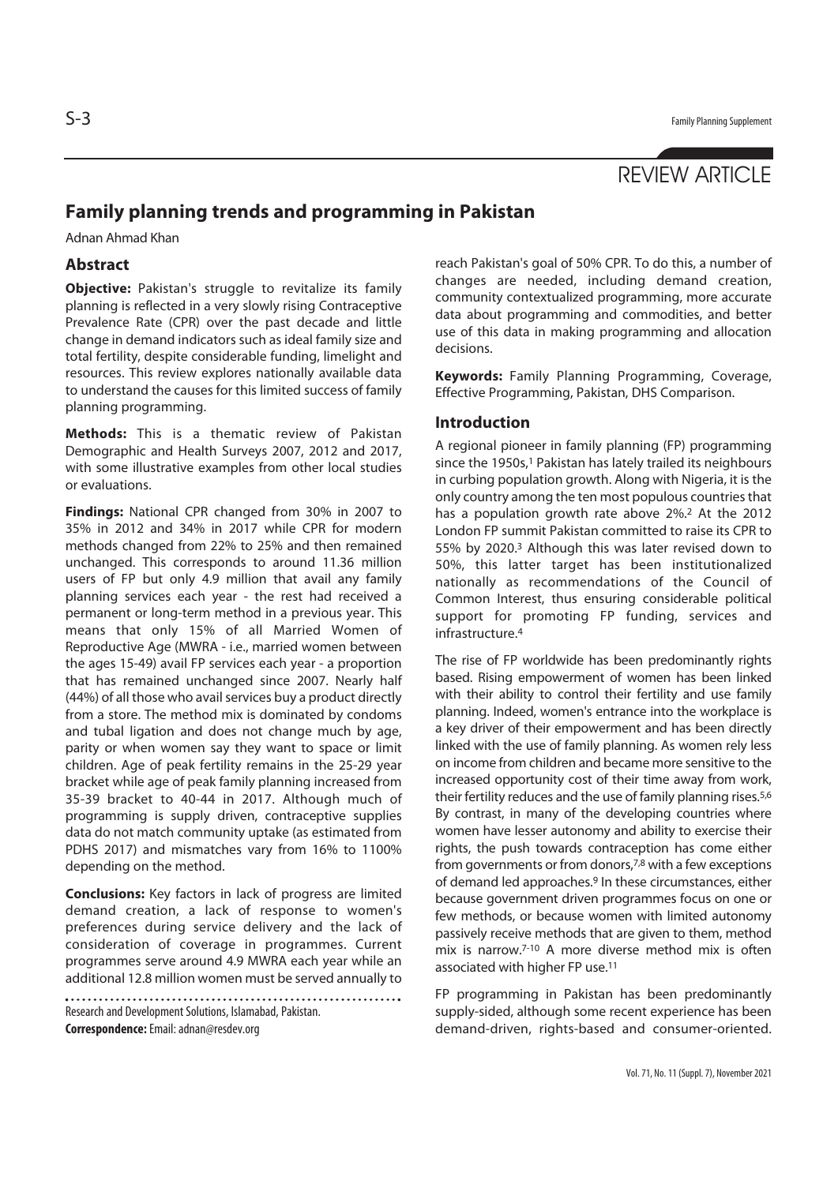# REVIEW ARTICLE

## **Family planning trends and programming in Pakistan**

Adnan Ahmad Khan

#### **Abstract**

**Objective:** Pakistan's struggle to revitalize its family planning is reflected in a very slowly rising Contraceptive Prevalence Rate (CPR) over the past decade and little change in demand indicators such as ideal family size and total fertility, despite considerable funding, limelight and resources. This review explores nationally available data to understand the causes for this limited success of family planning programming.

**Methods:** This is a thematic review of Pakistan Demographic and Health Surveys 2007, 2012 and 2017, with some illustrative examples from other local studies or evaluations.

**Findings:** National CPR changed from 30% in 2007 to 35% in 2012 and 34% in 2017 while CPR for modern methods changed from 22% to 25% and then remained unchanged. This corresponds to around 11.36 million users of FP but only 4.9 million that avail any family planning services each year - the rest had received a permanent or long-term method in a previous year. This means that only 15% of all Married Women of Reproductive Age (MWRA - i.e., married women between the ages 15-49) avail FP services each year - a proportion that has remained unchanged since 2007. Nearly half (44%) of all those who avail services buy a product directly from a store. The method mix is dominated by condoms and tubal ligation and does not change much by age, parity or when women say they want to space or limit children. Age of peak fertility remains in the 25-29 year bracket while age of peak family planning increased from 35-39 bracket to 40-44 in 2017. Although much of programming is supply driven, contraceptive supplies data do not match community uptake (as estimated from PDHS 2017) and mismatches vary from 16% to 1100% depending on the method.

**Conclusions:** Key factors in lack of progress are limited demand creation, a lack of response to women's preferences during service delivery and the lack of consideration of coverage in programmes. Current programmes serve around 4.9 MWRA each year while an additional 12.8 million women must be served annually to

Research and Development Solutions, Islamabad, Pakistan. **Correspondence:** Email: adnan@resdev.org

reach Pakistan's goal of 50% CPR. To do this, a number of changes are needed, including demand creation, community contextualized programming, more accurate data about programming and commodities, and better use of this data in making programming and allocation decisions.

**Keywords:** Family Planning Programming, Coverage, Effective Programming, Pakistan, DHS Comparison.

### **Introduction**

A regional pioneer in family planning (FP) programming since the 1950s,<sup>1</sup> Pakistan has lately trailed its neighbours in curbing population growth. Along with Nigeria, it is the only country among the ten most populous countries that has a population growth rate above 2%.2 At the 2012 London FP summit Pakistan committed to raise its CPR to 55% by 2020.3 Although this was later revised down to 50%, this latter target has been institutionalized nationally as recommendations of the Council of Common Interest, thus ensuring considerable political support for promoting FP funding, services and infrastructure<sup>4</sup>

The rise of FP worldwide has been predominantly rights based. Rising empowerment of women has been linked with their ability to control their fertility and use family planning. Indeed, women's entrance into the workplace is a key driver of their empowerment and has been directly linked with the use of family planning. As women rely less on income from children and became more sensitive to the increased opportunity cost of their time away from work, their fertility reduces and the use of family planning rises.5,6 By contrast, in many of the developing countries where women have lesser autonomy and ability to exercise their rights, the push towards contraception has come either from governments or from donors,7,8 with a few exceptions of demand led approaches.9 In these circumstances, either because government driven programmes focus on one or few methods, or because women with limited autonomy passively receive methods that are given to them, method mix is narrow.7-10 A more diverse method mix is often associated with higher FP use.11

FP programming in Pakistan has been predominantly supply-sided, although some recent experience has been demand-driven, rights-based and consumer-oriented.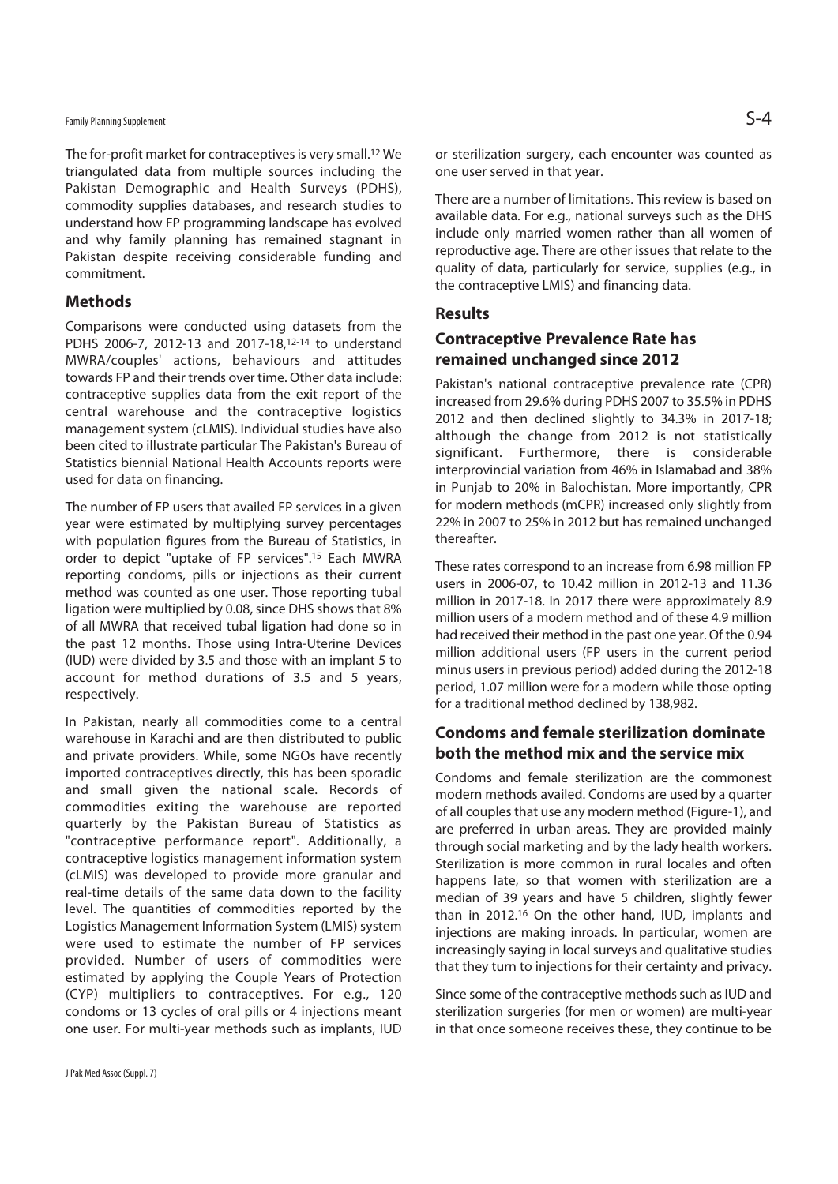## Family Planning Supplement  $\mathsf{S-4}$

The for-profit market for contraceptives is very small.12 We triangulated data from multiple sources including the Pakistan Demographic and Health Surveys (PDHS), commodity supplies databases, and research studies to understand how FP programming landscape has evolved and why family planning has remained stagnant in Pakistan despite receiving considerable funding and commitment.

#### **Methods**

Comparisons were conducted using datasets from the PDHS 2006-7, 2012-13 and 2017-18,<sup>12-14</sup> to understand MWRA/couples' actions, behaviours and attitudes towards FP and their trends over time. Other data include: contraceptive supplies data from the exit report of the central warehouse and the contraceptive logistics management system (cLMIS). Individual studies have also been cited to illustrate particular The Pakistan's Bureau of Statistics biennial National Health Accounts reports were used for data on financing.

The number of FP users that availed FP services in a given year were estimated by multiplying survey percentages with population figures from the Bureau of Statistics, in order to depict "uptake of FP services".15 Each MWRA reporting condoms, pills or injections as their current method was counted as one user. Those reporting tubal ligation were multiplied by 0.08, since DHS shows that 8% of all MWRA that received tubal ligation had done so in the past 12 months. Those using Intra-Uterine Devices (IUD) were divided by 3.5 and those with an implant 5 to account for method durations of 3.5 and 5 years, respectively.

In Pakistan, nearly all commodities come to a central warehouse in Karachi and are then distributed to public and private providers. While, some NGOs have recently imported contraceptives directly, this has been sporadic and small given the national scale. Records of commodities exiting the warehouse are reported quarterly by the Pakistan Bureau of Statistics as "contraceptive performance report". Additionally, a contraceptive logistics management information system (cLMIS) was developed to provide more granular and real-time details of the same data down to the facility level. The quantities of commodities reported by the Logistics Management Information System (LMIS) system were used to estimate the number of FP services provided. Number of users of commodities were estimated by applying the Couple Years of Protection (CYP) multipliers to contraceptives. For e.g., 120 condoms or 13 cycles of oral pills or 4 injections meant one user. For multi-year methods such as implants, IUD

or sterilization surgery, each encounter was counted as one user served in that year.

There are a number of limitations. This review is based on available data. For e.g., national surveys such as the DHS include only married women rather than all women of reproductive age. There are other issues that relate to the quality of data, particularly for service, supplies (e.g., in the contraceptive LMIS) and financing data.

#### **Results**

## **Contraceptive Prevalence Rate has remained unchanged since 2012**

Pakistan's national contraceptive prevalence rate (CPR) increased from 29.6% during PDHS 2007 to 35.5% in PDHS 2012 and then declined slightly to 34.3% in 2017-18; although the change from 2012 is not statistically significant. Furthermore, there is considerable interprovincial variation from 46% in Islamabad and 38% in Punjab to 20% in Balochistan. More importantly, CPR for modern methods (mCPR) increased only slightly from 22% in 2007 to 25% in 2012 but has remained unchanged thereafter.

These rates correspond to an increase from 6.98 million FP users in 2006-07, to 10.42 million in 2012-13 and 11.36 million in 2017-18. In 2017 there were approximately 8.9 million users of a modern method and of these 4.9 million had received their method in the past one year. Of the 0.94 million additional users (FP users in the current period minus users in previous period) added during the 2012-18 period, 1.07 million were for a modern while those opting for a traditional method declined by 138,982.

## **Condoms and female sterilization dominate both the method mix and the service mix**

Condoms and female sterilization are the commonest modern methods availed. Condoms are used by a quarter of all couples that use any modern method (Figure-1), and are preferred in urban areas. They are provided mainly through social marketing and by the lady health workers. Sterilization is more common in rural locales and often happens late, so that women with sterilization are a median of 39 years and have 5 children, slightly fewer than in 2012.16 On the other hand, IUD, implants and injections are making inroads. In particular, women are increasingly saying in local surveys and qualitative studies that they turn to injections for their certainty and privacy.

Since some of the contraceptive methods such as IUD and sterilization surgeries (for men or women) are multi-year in that once someone receives these, they continue to be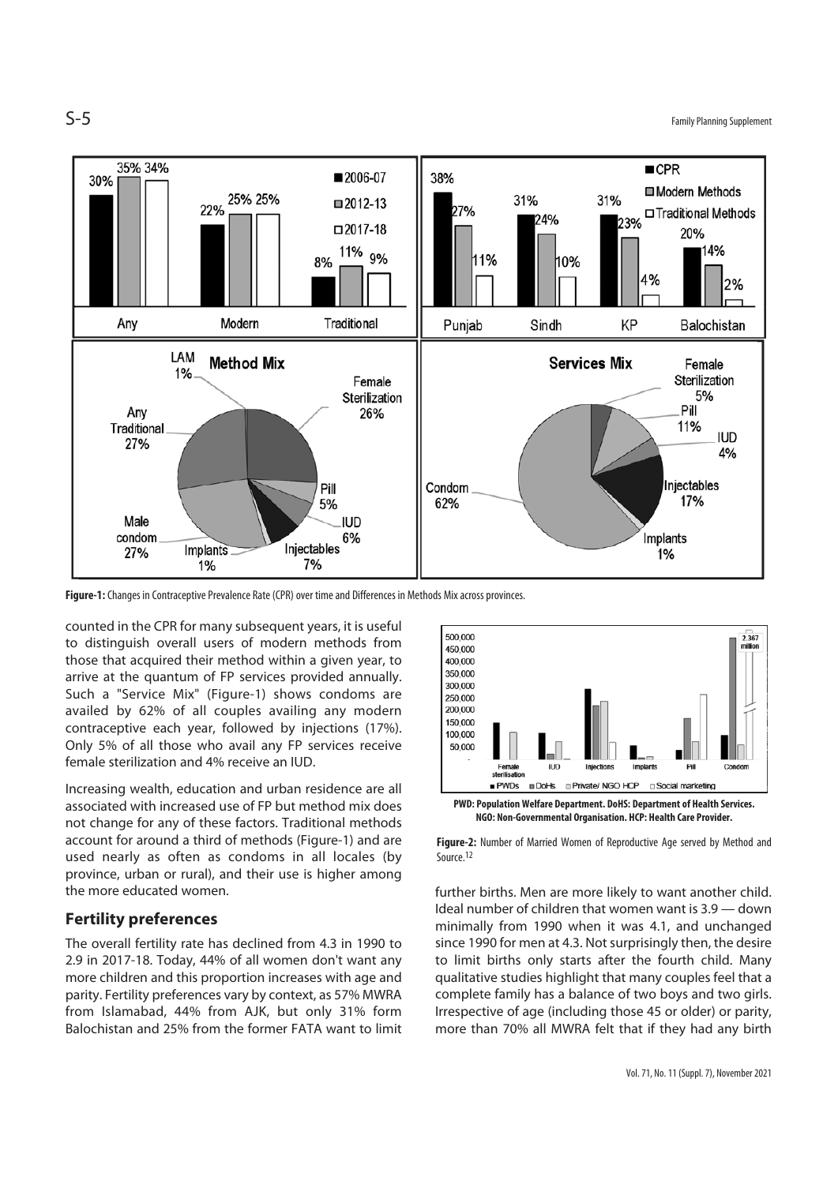$S-5$  Family Planning Supplement



**Figure-1:** Changes in Contraceptive Prevalence Rate (CPR) over time and Differences in Methods Mix across provinces.

counted in the CPR for many subsequent years, it is useful to distinguish overall users of modern methods from those that acquired their method within a given year, to arrive at the quantum of FP services provided annually. Such a "Service Mix" (Figure-1) shows condoms are availed by 62% of all couples availing any modern contraceptive each year, followed by injections (17%). Only 5% of all those who avail any FP services receive female sterilization and 4% receive an IUD.

Increasing wealth, education and urban residence are all associated with increased use of FP but method mix does not change for any of these factors. Traditional methods account for around a third of methods (Figure-1) and are used nearly as often as condoms in all locales (by province, urban or rural), and their use is higher among the more educated women.

#### **Fertility preferences**

The overall fertility rate has declined from 4.3 in 1990 to 2.9 in 2017-18. Today, 44% of all women don't want any more children and this proportion increases with age and parity. Fertility preferences vary by context, as 57% MWRA from Islamabad, 44% from AJK, but only 31% form Balochistan and 25% from the former FATA want to limit





**Figure-2:** Number of Married Women of Reproductive Age served by Method and Source.12

further births. Men are more likely to want another child. Ideal number of children that women want is 3.9 — down minimally from 1990 when it was 4.1, and unchanged since 1990 for men at 4.3. Not surprisingly then, the desire to limit births only starts after the fourth child. Many qualitative studies highlight that many couples feel that a complete family has a balance of two boys and two girls. Irrespective of age (including those 45 or older) or parity, more than 70% all MWRA felt that if they had any birth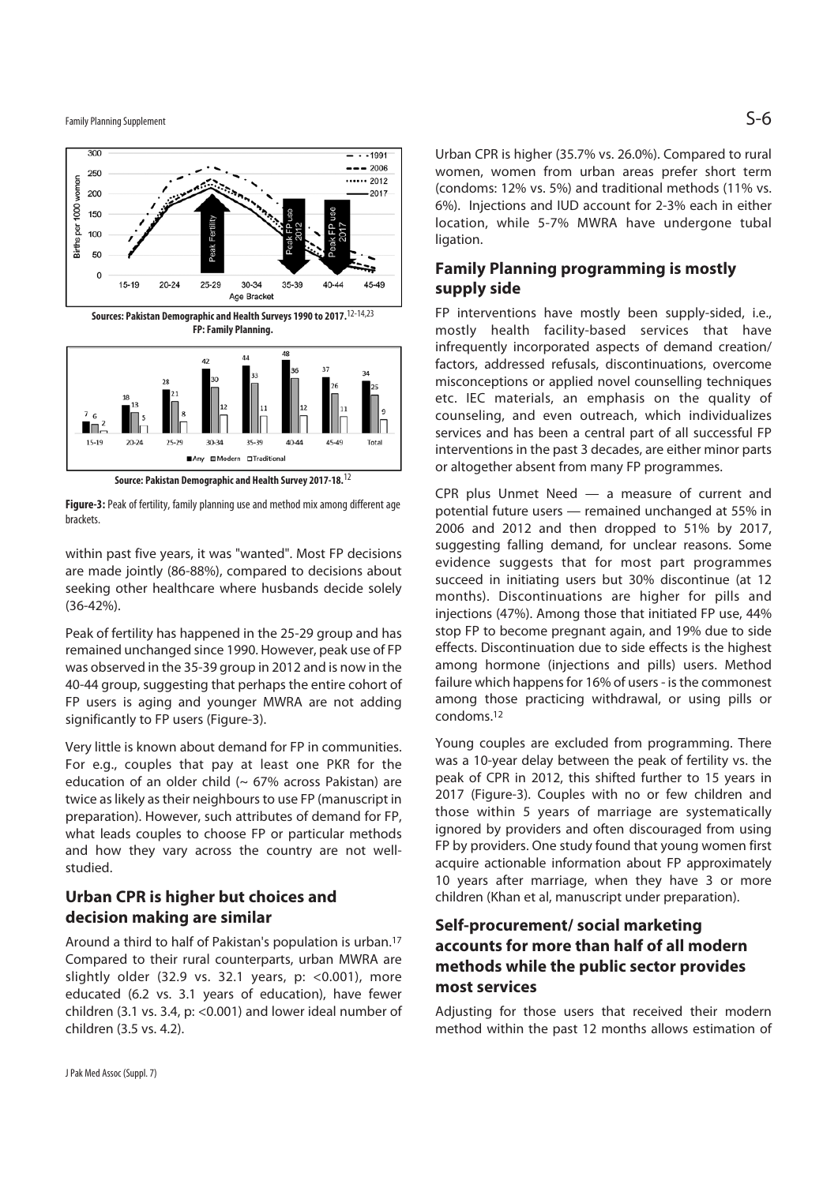Family Planning Supplement  $\mathsf{S}\text{-}\mathsf{6}$ 



**Figure-3:** Peak of fertility, family planning use and method mix among different age brackets.

within past five years, it was "wanted". Most FP decisions are made jointly (86-88%), compared to decisions about seeking other healthcare where husbands decide solely (36-42%).

Peak of fertility has happened in the 25-29 group and has remained unchanged since 1990. However, peak use of FP was observed in the 35-39 group in 2012 and is now in the 40-44 group, suggesting that perhaps the entire cohort of FP users is aging and younger MWRA are not adding significantly to FP users (Figure-3).

Very little is known about demand for FP in communities. For e.g., couples that pay at least one PKR for the education of an older child  $($   $\sim$  67% across Pakistan) are twice as likely as their neighbours to use FP (manuscript in preparation). However, such attributes of demand for FP, what leads couples to choose FP or particular methods and how they vary across the country are not wellstudied.

## **Urban CPR is higher but choices and decision making are similar**

Around a third to half of Pakistan's population is urban.17 Compared to their rural counterparts, urban MWRA are slightly older (32.9 vs. 32.1 years, p:  $<$ 0.001), more educated (6.2 vs. 3.1 years of education), have fewer children (3.1 vs. 3.4, p: <0.001) and lower ideal number of children (3.5 vs. 4.2).

Urban CPR is higher (35.7% vs. 26.0%). Compared to rural women, women from urban areas prefer short term (condoms: 12% vs. 5%) and traditional methods (11% vs. 6%). Injections and IUD account for 2-3% each in either location, while 5-7% MWRA have undergone tubal ligation.

## **Family Planning programming is mostly supply side**

FP interventions have mostly been supply-sided, i.e., mostly health facility-based services that have infrequently incorporated aspects of demand creation/ factors, addressed refusals, discontinuations, overcome misconceptions or applied novel counselling techniques etc. IEC materials, an emphasis on the quality of counseling, and even outreach, which individualizes services and has been a central part of all successful FP interventions in the past 3 decades, are either minor parts or altogether absent from many FP programmes.

CPR plus Unmet Need — a measure of current and potential future users — remained unchanged at 55% in 2006 and 2012 and then dropped to 51% by 2017, suggesting falling demand, for unclear reasons. Some evidence suggests that for most part programmes succeed in initiating users but 30% discontinue (at 12 months). Discontinuations are higher for pills and injections (47%). Among those that initiated FP use, 44% stop FP to become pregnant again, and 19% due to side effects. Discontinuation due to side effects is the highest among hormone (injections and pills) users. Method failure which happens for 16% of users - is the commonest among those practicing withdrawal, or using pills or condoms.12

Young couples are excluded from programming. There was a 10-year delay between the peak of fertility vs. the peak of CPR in 2012, this shifted further to 15 years in 2017 (Figure-3). Couples with no or few children and those within 5 years of marriage are systematically ignored by providers and often discouraged from using FP by providers. One study found that young women first acquire actionable information about FP approximately 10 years after marriage, when they have 3 or more children (Khan et al, manuscript under preparation).

## **Self-procurement/ social marketing accounts for more than half of all modern methods while the public sector provides most services**

Adjusting for those users that received their modern method within the past 12 months allows estimation of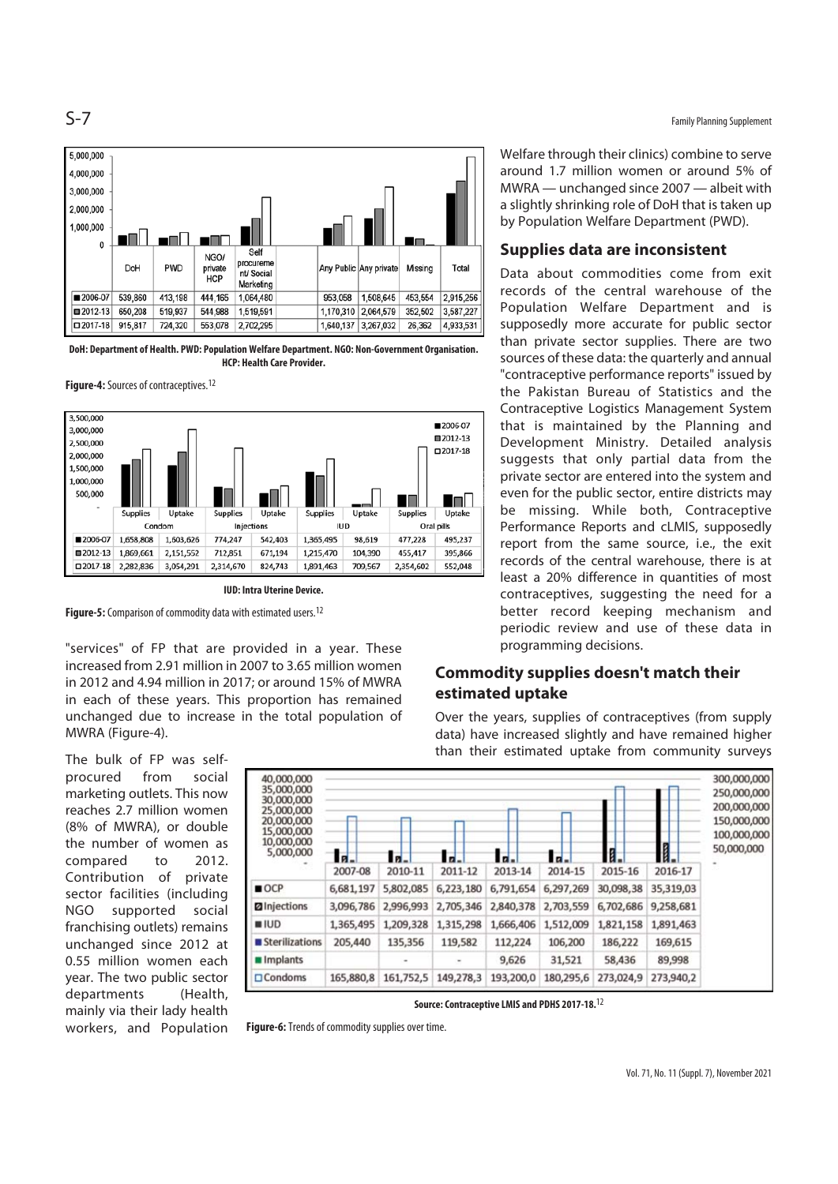



**DoH: Department of Health. PWD: Population Welfare Department. NGO: Non-Government Organisation. HCP: Health Care Provider.** 

**Figure-4:** Sources of contraceptives.12



**IUD: Intra Uterine Device.** 

**Figure-5:** Comparison of commodity data with estimated users.12

"services" of FP that are provided in a year. These increased from 2.91 million in 2007 to 3.65 million women in 2012 and 4.94 million in 2017; or around 15% of MWRA in each of these years. This proportion has remained unchanged due to increase in the total population of MWRA (Figure-4).

The bulk of FP was selfprocured from social marketing outlets. This now reaches 2.7 million women (8% of MWRA), or double the number of women as compared to 2012. Contribution of private sector facilities (including NGO supported social franchising outlets) remains unchanged since 2012 at 0.55 million women each year. The two public sector departments (Health, mainly via their lady health workers, and Population



**Source: Contraceptive LMIS and PDHS 2017-18.**12

**Figure-6:** Trends of commodity supplies over time.

er a strong of  $S$  -  $7$  Family Planning Supplement

Welfare through their clinics) combine to serve around 1.7 million women or around 5% of MWRA — unchanged since 2007 — albeit with a slightly shrinking role of DoH that is taken up by Population Welfare Department (PWD).

#### **Supplies data are inconsistent**

Data about commodities come from exit records of the central warehouse of the Population Welfare Department and is supposedly more accurate for public sector than private sector supplies. There are two sources of these data: the quarterly and annual "contraceptive performance reports" issued by the Pakistan Bureau of Statistics and the Contraceptive Logistics Management System that is maintained by the Planning and Development Ministry. Detailed analysis suggests that only partial data from the private sector are entered into the system and even for the public sector, entire districts may be missing. While both, Contraceptive Performance Reports and cLMIS, supposedly report from the same source, i.e., the exit records of the central warehouse, there is at least a 20% difference in quantities of most contraceptives, suggesting the need for a better record keeping mechanism and periodic review and use of these data in programming decisions.

## **Commodity supplies doesn't match their estimated uptake**

Over the years, supplies of contraceptives (from supply data) have increased slightly and have remained higher than their estimated uptake from community surveys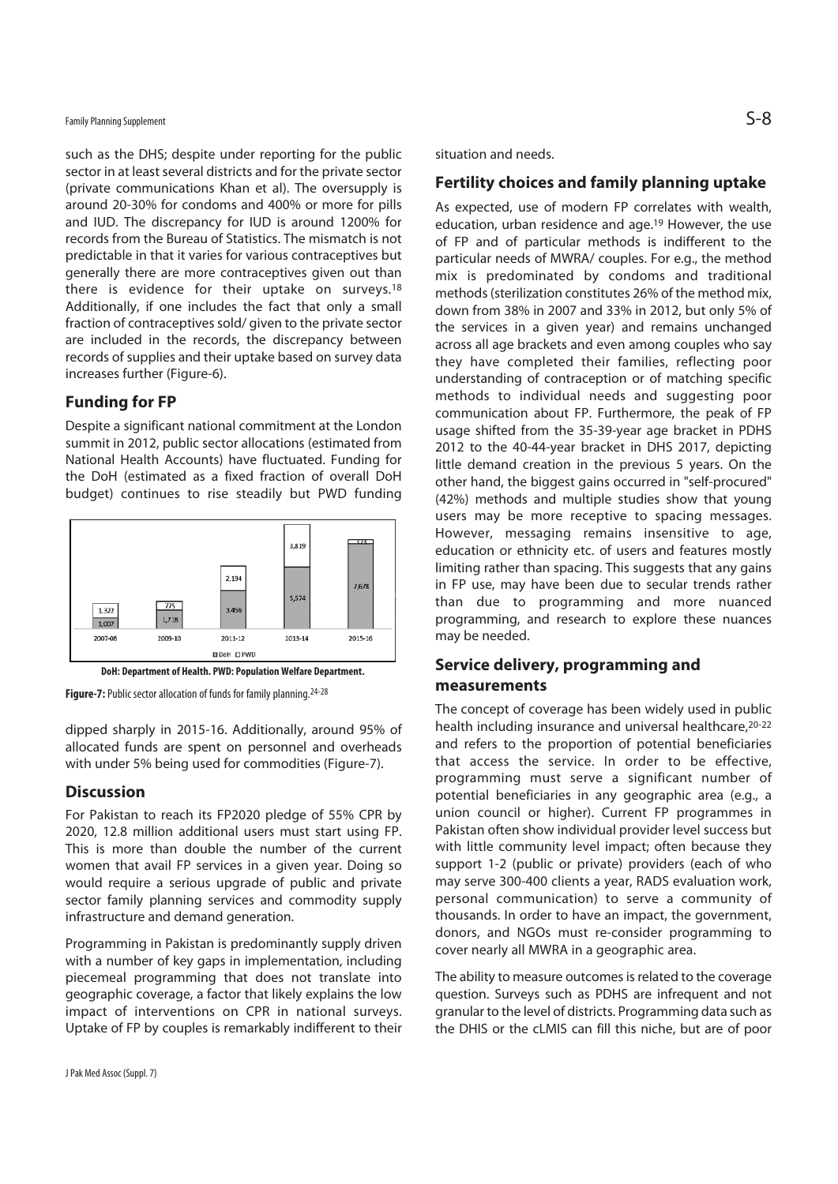## Family Planning Supplement  $\mathsf{S}\text{-}\mathsf{8}$

such as the DHS; despite under reporting for the public sector in at least several districts and for the private sector (private communications Khan et al). The oversupply is around 20-30% for condoms and 400% or more for pills and IUD. The discrepancy for IUD is around 1200% for records from the Bureau of Statistics. The mismatch is not predictable in that it varies for various contraceptives but generally there are more contraceptives given out than there is evidence for their uptake on surveys.18 Additionally, if one includes the fact that only a small fraction of contraceptives sold/ given to the private sector are included in the records, the discrepancy between records of supplies and their uptake based on survey data increases further (Figure-6).

#### **Funding for FP**

Despite a significant national commitment at the London summit in 2012, public sector allocations (estimated from National Health Accounts) have fluctuated. Funding for the DoH (estimated as a fixed fraction of overall DoH budget) continues to rise steadily but PWD funding



**DoH: Department of Health. PWD: Population Welfare Department.** 

**Figure-7:** Public sector allocation of funds for family planning.24-28

dipped sharply in 2015-16. Additionally, around 95% of allocated funds are spent on personnel and overheads with under 5% being used for commodities (Figure-7).

#### **Discussion**

For Pakistan to reach its FP2020 pledge of 55% CPR by 2020, 12.8 million additional users must start using FP. This is more than double the number of the current women that avail FP services in a given year. Doing so would require a serious upgrade of public and private sector family planning services and commodity supply infrastructure and demand generation.

Programming in Pakistan is predominantly supply driven with a number of key gaps in implementation, including piecemeal programming that does not translate into geographic coverage, a factor that likely explains the low impact of interventions on CPR in national surveys. Uptake of FP by couples is remarkably indifferent to their

situation and needs.

#### **Fertility choices and family planning uptake**

As expected, use of modern FP correlates with wealth, education, urban residence and age.19 However, the use of FP and of particular methods is indifferent to the particular needs of MWRA/ couples. For e.g., the method mix is predominated by condoms and traditional methods (sterilization constitutes 26% of the method mix, down from 38% in 2007 and 33% in 2012, but only 5% of the services in a given year) and remains unchanged across all age brackets and even among couples who say they have completed their families, reflecting poor understanding of contraception or of matching specific methods to individual needs and suggesting poor communication about FP. Furthermore, the peak of FP usage shifted from the 35-39-year age bracket in PDHS 2012 to the 40-44-year bracket in DHS 2017, depicting little demand creation in the previous 5 years. On the other hand, the biggest gains occurred in "self-procured" (42%) methods and multiple studies show that young users may be more receptive to spacing messages. However, messaging remains insensitive to age, education or ethnicity etc. of users and features mostly limiting rather than spacing. This suggests that any gains in FP use, may have been due to secular trends rather than due to programming and more nuanced programming, and research to explore these nuances may be needed.

### **Service delivery, programming and measurements**

The concept of coverage has been widely used in public health including insurance and universal healthcare,20-22 and refers to the proportion of potential beneficiaries that access the service. In order to be effective, programming must serve a significant number of potential beneficiaries in any geographic area (e.g., a union council or higher). Current FP programmes in Pakistan often show individual provider level success but with little community level impact; often because they support 1-2 (public or private) providers (each of who may serve 300-400 clients a year, RADS evaluation work, personal communication) to serve a community of thousands. In order to have an impact, the government, donors, and NGOs must re-consider programming to cover nearly all MWRA in a geographic area.

The ability to measure outcomes is related to the coverage question. Surveys such as PDHS are infrequent and not granular to the level of districts. Programming data such as the DHIS or the cLMIS can fill this niche, but are of poor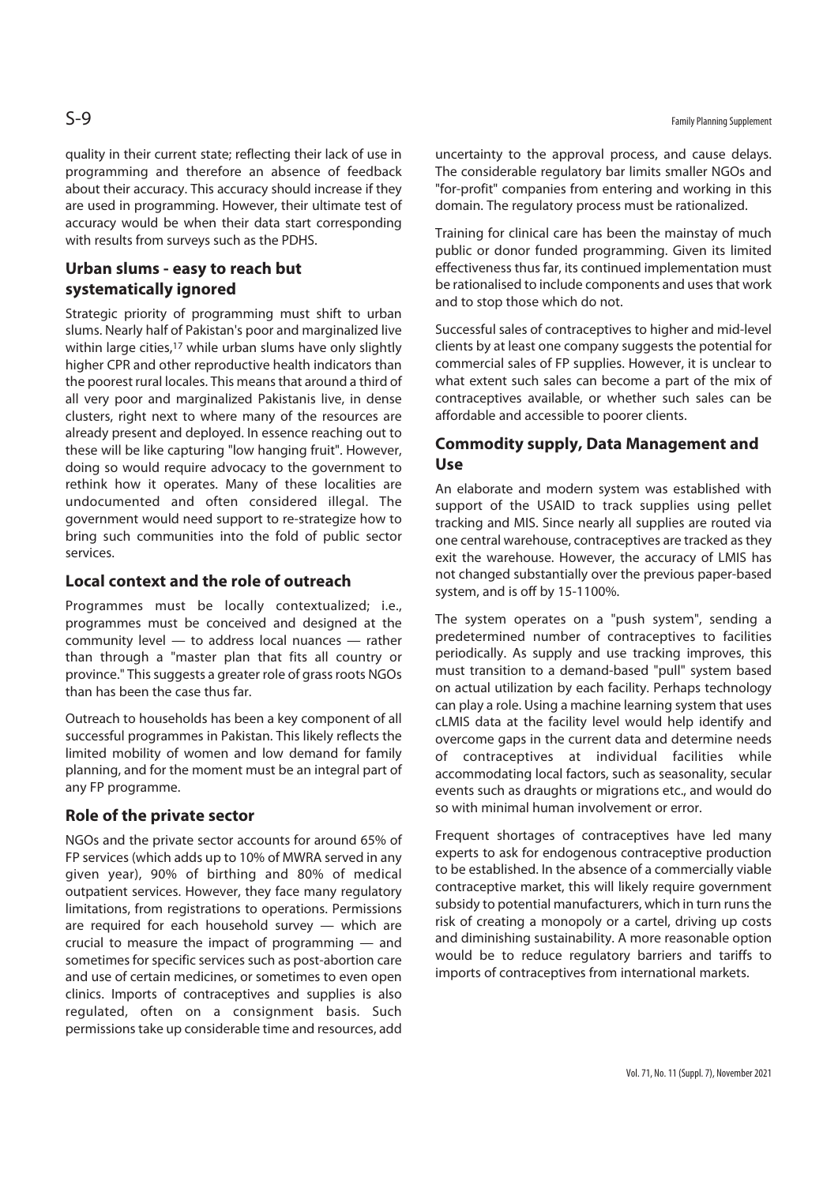quality in their current state; reflecting their lack of use in programming and therefore an absence of feedback about their accuracy. This accuracy should increase if they are used in programming. However, their ultimate test of accuracy would be when their data start corresponding with results from surveys such as the PDHS.

## **Urban slums - easy to reach but systematically ignored**

Strategic priority of programming must shift to urban slums. Nearly half of Pakistan's poor and marginalized live within large cities,<sup>17</sup> while urban slums have only slightly higher CPR and other reproductive health indicators than the poorest rural locales. This means that around a third of all very poor and marginalized Pakistanis live, in dense clusters, right next to where many of the resources are already present and deployed. In essence reaching out to these will be like capturing "low hanging fruit". However, doing so would require advocacy to the government to rethink how it operates. Many of these localities are undocumented and often considered illegal. The government would need support to re-strategize how to bring such communities into the fold of public sector services.

## **Local context and the role of outreach**

Programmes must be locally contextualized; i.e., programmes must be conceived and designed at the community level — to address local nuances — rather than through a "master plan that fits all country or province." This suggests a greater role of grass roots NGOs than has been the case thus far.

Outreach to households has been a key component of all successful programmes in Pakistan. This likely reflects the limited mobility of women and low demand for family planning, and for the moment must be an integral part of any FP programme.

#### **Role of the private sector**

NGOs and the private sector accounts for around 65% of FP services (which adds up to 10% of MWRA served in any given year), 90% of birthing and 80% of medical outpatient services. However, they face many regulatory limitations, from registrations to operations. Permissions are required for each household survey — which are crucial to measure the impact of programming — and sometimes for specific services such as post-abortion care and use of certain medicines, or sometimes to even open clinics. Imports of contraceptives and supplies is also regulated, often on a consignment basis. Such permissions take up considerable time and resources, add

uncertainty to the approval process, and cause delays. The considerable regulatory bar limits smaller NGOs and "for-profit" companies from entering and working in this domain. The regulatory process must be rationalized.

Training for clinical care has been the mainstay of much public or donor funded programming. Given its limited effectiveness thus far, its continued implementation must be rationalised to include components and uses that work and to stop those which do not.

Successful sales of contraceptives to higher and mid-level clients by at least one company suggests the potential for commercial sales of FP supplies. However, it is unclear to what extent such sales can become a part of the mix of contraceptives available, or whether such sales can be affordable and accessible to poorer clients.

## **Commodity supply, Data Management and Use**

An elaborate and modern system was established with support of the USAID to track supplies using pellet tracking and MIS. Since nearly all supplies are routed via one central warehouse, contraceptives are tracked as they exit the warehouse. However, the accuracy of LMIS has not changed substantially over the previous paper-based system, and is off by 15-1100%.

The system operates on a "push system", sending a predetermined number of contraceptives to facilities periodically. As supply and use tracking improves, this must transition to a demand-based "pull" system based on actual utilization by each facility. Perhaps technology can play a role. Using a machine learning system that uses cLMIS data at the facility level would help identify and overcome gaps in the current data and determine needs of contraceptives at individual facilities while accommodating local factors, such as seasonality, secular events such as draughts or migrations etc., and would do so with minimal human involvement or error.

Frequent shortages of contraceptives have led many experts to ask for endogenous contraceptive production to be established. In the absence of a commercially viable contraceptive market, this will likely require government subsidy to potential manufacturers, which in turn runs the risk of creating a monopoly or a cartel, driving up costs and diminishing sustainability. A more reasonable option would be to reduce regulatory barriers and tariffs to imports of contraceptives from international markets.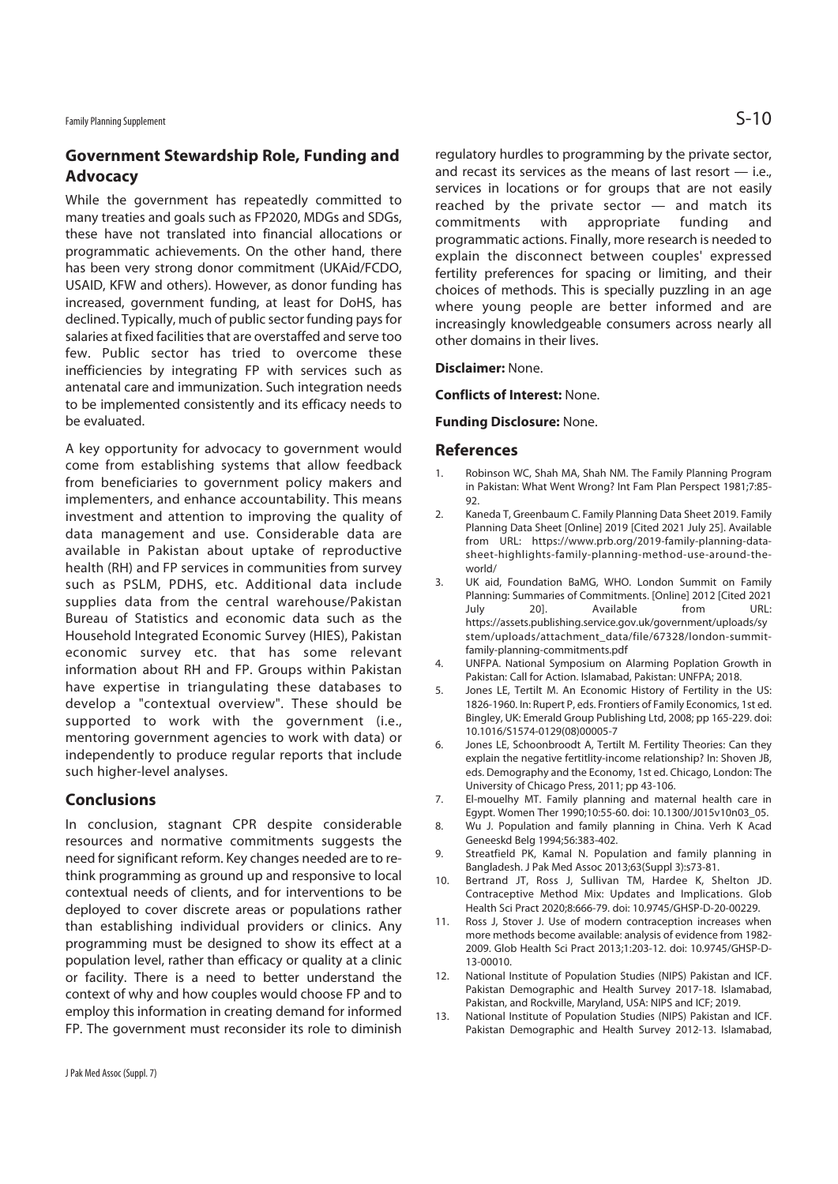## **Government Stewardship Role, Funding and Advocacy**

While the government has repeatedly committed to many treaties and goals such as FP2020, MDGs and SDGs, these have not translated into financial allocations or programmatic achievements. On the other hand, there has been very strong donor commitment (UKAid/FCDO, USAID, KFW and others). However, as donor funding has increased, government funding, at least for DoHS, has declined. Typically, much of public sector funding pays for salaries at fixed facilities that are overstaffed and serve too few. Public sector has tried to overcome these inefficiencies by integrating FP with services such as antenatal care and immunization. Such integration needs to be implemented consistently and its efficacy needs to be evaluated.

A key opportunity for advocacy to government would come from establishing systems that allow feedback from beneficiaries to government policy makers and implementers, and enhance accountability. This means investment and attention to improving the quality of data management and use. Considerable data are available in Pakistan about uptake of reproductive health (RH) and FP services in communities from survey such as PSLM, PDHS, etc. Additional data include supplies data from the central warehouse/Pakistan Bureau of Statistics and economic data such as the Household Integrated Economic Survey (HIES), Pakistan economic survey etc. that has some relevant information about RH and FP. Groups within Pakistan have expertise in triangulating these databases to develop a "contextual overview". These should be supported to work with the government (i.e., mentoring government agencies to work with data) or independently to produce regular reports that include such higher-level analyses.

#### **Conclusions**

In conclusion, stagnant CPR despite considerable resources and normative commitments suggests the need for significant reform. Key changes needed are to rethink programming as ground up and responsive to local contextual needs of clients, and for interventions to be deployed to cover discrete areas or populations rather than establishing individual providers or clinics. Any programming must be designed to show its effect at a population level, rather than efficacy or quality at a clinic or facility. There is a need to better understand the context of why and how couples would choose FP and to employ this information in creating demand for informed FP. The government must reconsider its role to diminish

regulatory hurdles to programming by the private sector, and recast its services as the means of last resort  $-$  i.e., services in locations or for groups that are not easily reached by the private sector — and match its commitments with appropriate funding and programmatic actions. Finally, more research is needed to explain the disconnect between couples' expressed fertility preferences for spacing or limiting, and their choices of methods. This is specially puzzling in an age where young people are better informed and are increasingly knowledgeable consumers across nearly all other domains in their lives.

#### **Disclaimer:** None.

**Conflicts of Interest:** None.

#### **Funding Disclosure:** None.

#### **References**

- 1. Robinson WC, Shah MA, Shah NM. The Family Planning Program in Pakistan: What Went Wrong? Int Fam Plan Perspect 1981;7:85- 92.
- 2. Kaneda T, Greenbaum C. Family Planning Data Sheet 2019. Family Planning Data Sheet [Online] 2019 [Cited 2021 July 25]. Available from URL: https://www.prb.org/2019-family-planning-datasheet-highlights-family-planning-method-use-around-theworld/
- 3. UK aid, Foundation BaMG, WHO. London Summit on Family Planning: Summaries of Commitments. [Online] 2012 [Cited 2021 July 20]. Available from URL: https://assets.publishing.service.gov.uk/government/uploads/sy stem/uploads/attachment\_data/file/67328/london-summitfamily-planning-commitments.pdf
- 4. UNFPA. National Symposium on Alarming Poplation Growth in Pakistan: Call for Action. Islamabad, Pakistan: UNFPA; 2018.
- 5. Jones LE, Tertilt M. An Economic History of Fertility in the US: 1826-1960. In: Rupert P, eds. Frontiers of Family Economics, 1st ed. Bingley, UK: Emerald Group Publishing Ltd, 2008; pp 165-229. doi: 10.1016/S1574-0129(08)00005-7
- 6. Jones LE, Schoonbroodt A, Tertilt M. Fertility Theories: Can they explain the negative fertitlity-income relationship? In: Shoven JB, eds. Demography and the Economy, 1st ed. Chicago, London: The University of Chicago Press, 2011; pp 43-106.
- 7. El-mouelhy MT. Family planning and maternal health care in Egypt. Women Ther 1990;10:55-60. doi: 10.1300/J015v10n03\_05.
- 8. Wu J. Population and family planning in China. Verh K Acad Geneeskd Belg 1994;56:383-402.
- 9. Streatfield PK, Kamal N. Population and family planning in Bangladesh. J Pak Med Assoc 2013;63(Suppl 3):s73-81.
- 10. Bertrand JT, Ross J, Sullivan TM, Hardee K, Shelton JD. Contraceptive Method Mix: Updates and Implications. Glob Health Sci Pract 2020;8:666-79. doi: 10.9745/GHSP-D-20-00229.
- 11. Ross J, Stover J. Use of modern contraception increases when more methods become available: analysis of evidence from 1982- 2009. Glob Health Sci Pract 2013;1:203-12. doi: 10.9745/GHSP-D-13-00010.
- 12. National Institute of Population Studies (NIPS) Pakistan and ICF. Pakistan Demographic and Health Survey 2017-18. Islamabad, Pakistan, and Rockville, Maryland, USA: NIPS and ICF; 2019.
- 13. National Institute of Population Studies (NIPS) Pakistan and ICF. Pakistan Demographic and Health Survey 2012-13. Islamabad,